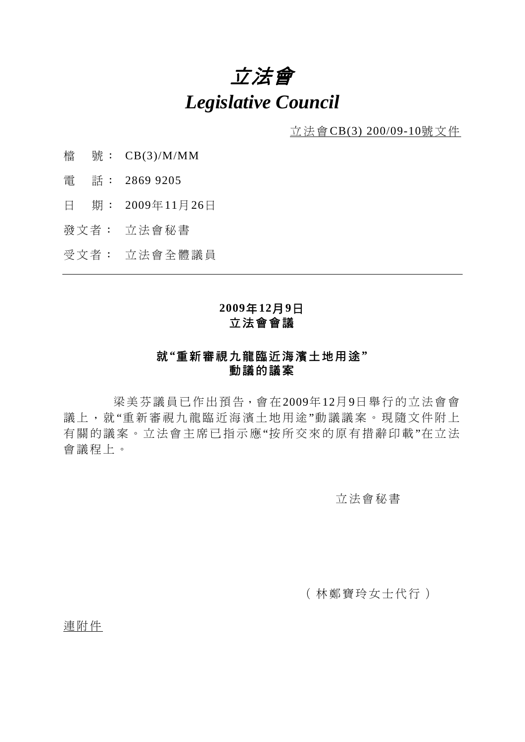# 立法會 *Legislative Council*

立法會CB(3) 200/09-10號文件

- 檔 號: CB(3)/M/MM
- 電 話: 2869 9205
- 日 期: 2009年11月26日
- 發文者: 立法會秘書
- 受文者: 立法會全體議員

#### **2009**年**12**月**9**日 立法會會議

### 就**"**重新審視九龍臨近海濱土地用途**"**  動議的議案

 梁美芬議員已作出預告,會在2009年12月9日舉行的立法會會 議上,就"重新審視九龍臨近海濱土地用途"動議議案。現隨文件附上 有關的議案。立法會主席已指示應"按所交來的原有措辭印載"在立法 會議程上。

#### 立法會秘書

#### (林鄭寶玲女士代行)

連附件